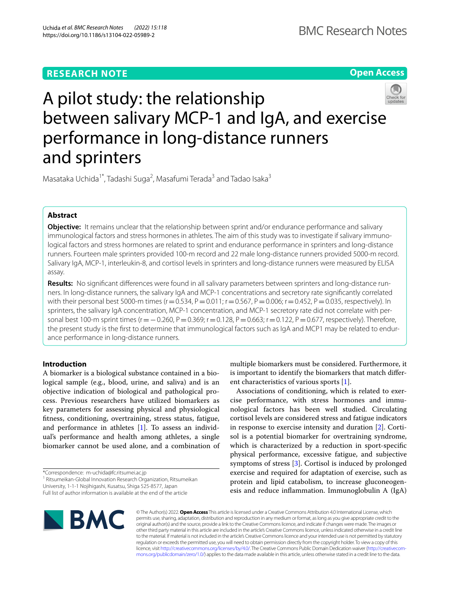# **RESEARCH NOTE**

**Open Access**

# A pilot study: the relationship between salivary MCP-1 and IgA, and exercise performance in long-distance runners and sprinters

Masataka Uchida<sup>1\*</sup>, Tadashi Suga<sup>2</sup>, Masafumi Terada<sup>3</sup> and Tadao Isaka<sup>3</sup>

# **Abstract**

**Objective:** It remains unclear that the relationship between sprint and/or endurance performance and salivary immunological factors and stress hormones in athletes. The aim of this study was to investigate if salivary immunological factors and stress hormones are related to sprint and endurance performance in sprinters and long-distance runners. Fourteen male sprinters provided 100-m record and 22 male long-distance runners provided 5000-m record. Salivary IgA, MCP-1, interleukin-8, and cortisol levels in sprinters and long-distance runners were measured by ELISA assay.

**Results:** No signifcant diferences were found in all salivary parameters between sprinters and long-distance runners. In long-distance runners, the salivary IgA and MCP-1 concentrations and secretory rate signifcantly correlated with their personal best 5000-m times (r = 0.534, P = 0.011; r = 0.567, P = 0.006; r = 0.452, P = 0.035, respectively). In sprinters, the salivary IgA concentration, MCP-1 concentration, and MCP-1 secretory rate did not correlate with personal best 100-m sprint times (r = − 0.260, P = 0.369; r = 0.128, P = 0.663; r = 0.122, P = 0.677, respectively). Therefore, the present study is the frst to determine that immunological factors such as IgA and MCP1 may be related to endurance performance in long-distance runners.

# **Introduction**

A biomarker is a biological substance contained in a biological sample (e.g., blood, urine, and saliva) and is an objective indication of biological and pathological process. Previous researchers have utilized biomarkers as key parameters for assessing physical and physiological ftness, conditioning, overtraining, stress status, fatigue, and performance in athletes [\[1](#page-4-0)]. To assess an individual's performance and health among athletes, a single biomarker cannot be used alone, and a combination of

\*Correspondence: m-uchida@fc.ritsumei.ac.jp

<sup>1</sup> Ritsumeikan-Global Innovation Research Organization, Ritsumeikan University, 1-1-1 Nojihigashi, Kusatsu, Shiga 525-8577, Japan

multiple biomarkers must be considered. Furthermore, it is important to identify the biomarkers that match diferent characteristics of various sports [[1\]](#page-4-0).

Associations of conditioning, which is related to exercise performance, with stress hormones and immunological factors has been well studied. Circulating cortisol levels are considered stress and fatigue indicators in response to exercise intensity and duration [\[2\]](#page-4-1). Cortisol is a potential biomarker for overtraining syndrome, which is characterized by a reduction in sport-specifc physical performance, excessive fatigue, and subjective symptoms of stress [[3\]](#page-4-2). Cortisol is induced by prolonged exercise and required for adaptation of exercise, such as protein and lipid catabolism, to increase gluconeogenesis and reduce infammation. Immunoglobulin A (IgA)



© The Author(s) 2022. **Open Access** This article is licensed under a Creative Commons Attribution 4.0 International License, which permits use, sharing, adaptation, distribution and reproduction in any medium or format, as long as you give appropriate credit to the original author(s) and the source, provide a link to the Creative Commons licence, and indicate if changes were made. The images or other third party material in this article are included in the article's Creative Commons licence, unless indicated otherwise in a credit line to the material. If material is not included in the article's Creative Commons licence and your intended use is not permitted by statutory regulation or exceeds the permitted use, you will need to obtain permission directly from the copyright holder. To view a copy of this licence, visit [http://creativecommons.org/licenses/by/4.0/.](http://creativecommons.org/licenses/by/4.0/) The Creative Commons Public Domain Dedication waiver ([http://creativecom](http://creativecommons.org/publicdomain/zero/1.0/)[mons.org/publicdomain/zero/1.0/\)](http://creativecommons.org/publicdomain/zero/1.0/) applies to the data made available in this article, unless otherwise stated in a credit line to the data.

Full list of author information is available at the end of the article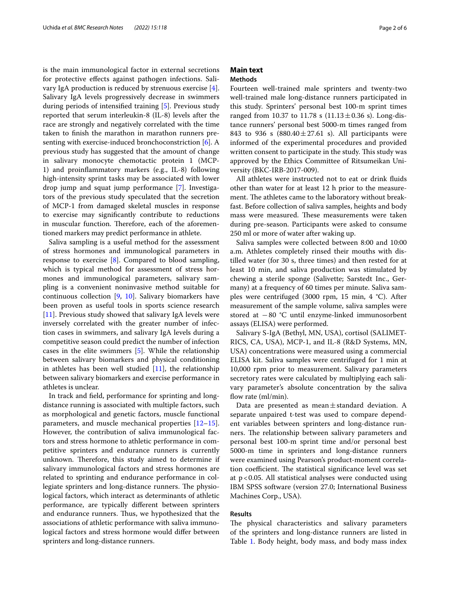is the main immunological factor in external secretions for protective efects against pathogen infections. Salivary IgA production is reduced by strenuous exercise [\[4](#page-4-3)]. Salivary IgA levels progressively decrease in swimmers during periods of intensifed training [\[5](#page-4-4)]. Previous study reported that serum interleukin-8 (IL-8) levels after the race are strongly and negatively correlated with the time taken to fnish the marathon in marathon runners presenting with exercise-induced bronchoconstriction [[6\]](#page-4-5). A previous study has suggested that the amount of change in salivary monocyte chemotactic protein 1 (MCP-1) and proinfammatory markers (e.g., IL-8) following high-intensity sprint tasks may be associated with lower drop jump and squat jump performance [[7\]](#page-4-6). Investigators of the previous study speculated that the secretion of MCP-1 from damaged skeletal muscles in response to exercise may signifcantly contribute to reductions in muscular function. Therefore, each of the aforementioned markers may predict performance in athlete.

Saliva sampling is a useful method for the assessment of stress hormones and immunological parameters in response to exercise [\[8](#page-4-7)]. Compared to blood sampling, which is typical method for assessment of stress hormones and immunological parameters, salivary sampling is a convenient noninvasive method suitable for continuous collection [\[9](#page-4-8), [10](#page-4-9)]. Salivary biomarkers have been proven as useful tools in sports science research [[11\]](#page-4-10). Previous study showed that salivary IgA levels were inversely correlated with the greater number of infection cases in swimmers, and salivary IgA levels during a competitive season could predict the number of infection cases in the elite swimmers [[5](#page-4-4)]. While the relationship between salivary biomarkers and physical conditioning in athletes has been well studied  $[11]$ , the relationship between salivary biomarkers and exercise performance in athletes is unclear.

In track and feld, performance for sprinting and longdistance running is associated with multiple factors, such as morphological and genetic factors, muscle functional parameters, and muscle mechanical properties [[12](#page-4-11)[–15](#page-4-12)]. However, the contribution of saliva immunological factors and stress hormone to athletic performance in competitive sprinters and endurance runners is currently unknown. Therefore, this study aimed to determine if salivary immunological factors and stress hormones are related to sprinting and endurance performance in collegiate sprinters and long-distance runners. The physiological factors, which interact as determinants of athletic performance, are typically diferent between sprinters and endurance runners. Thus, we hypothesized that the associations of athletic performance with saliva immunological factors and stress hormone would difer between sprinters and long-distance runners.

# **Main text**

# **Methods**

Fourteen well-trained male sprinters and twenty-two well-trained male long-distance runners participated in this study. Sprinters' personal best 100-m sprint times ranged from 10.37 to 11.78 s (11.13 $\pm$ 0.36 s). Long-distance runners' personal best 5000-m times ranged from 843 to 936 s  $(880.40 \pm 27.61 \text{ s})$ . All participants were informed of the experimental procedures and provided written consent to participate in the study. This study was approved by the Ethics Committee of Ritsumeikan University (BKC-IRB-2017-009).

All athletes were instructed not to eat or drink fuids other than water for at least 12 h prior to the measurement. The athletes came to the laboratory without breakfast. Before collection of saliva samples, heights and body mass were measured. These measurements were taken during pre-season. Participants were asked to consume 250 ml or more of water after waking up.

Saliva samples were collected between 8:00 and 10:00 a.m. Athletes completely rinsed their mouths with distilled water (for 30 s, three times) and then rested for at least 10 min, and saliva production was stimulated by chewing a sterile sponge (Salivette; Sarstedt Inc., Germany) at a frequency of 60 times per minute. Saliva samples were centrifuged (3000 rpm, 15 min, 4 °C). After measurement of the sample volume, saliva samples were stored at −80 °C until enzyme-linked immunosorbent assays (ELISA) were performed.

Salivary S-IgA (Bethyl, MN, USA), cortisol (SALIMET-RICS, CA, USA), MCP-1, and IL-8 (R&D Systems, MN, USA) concentrations were measured using a commercial ELISA kit. Saliva samples were centrifuged for 1 min at 10,000 rpm prior to measurement. Salivary parameters secretory rates were calculated by multiplying each salivary parameter's absolute concentration by the saliva flow rate  $\text{(ml/min)}$ .

Data are presented as mean $\pm$ standard deviation. A separate unpaired t-test was used to compare dependent variables between sprinters and long-distance runners. The relationship between salivary parameters and personal best 100-m sprint time and/or personal best 5000-m time in sprinters and long-distance runners were examined using Pearson's product-moment correlation coefficient. The statistical significance level was set at  $p < 0.05$ . All statistical analyses were conducted using IBM SPSS software (version 27.0; International Business Machines Corp., USA).

## **Results**

The physical characteristics and salivary parameters of the sprinters and long-distance runners are listed in Table [1.](#page-2-0) Body height, body mass, and body mass index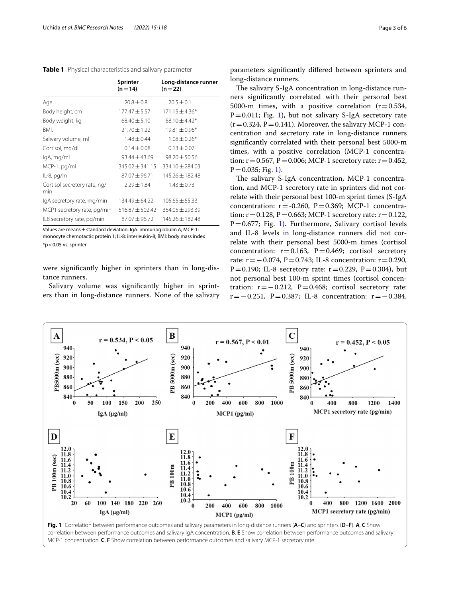<span id="page-2-0"></span>**Table 1** Physical characteristics and salivary parameter

|                                     | Sprinter<br>$(n=14)$ | Long-distance runner<br>$(n=22)$ |
|-------------------------------------|----------------------|----------------------------------|
| Age                                 | $20.8 \pm 0.8$       | $20.5 \pm 0.1$                   |
| Body height, cm                     | $177.47 \pm 5.57$    | $171.15 \pm 4.36*$               |
| Body weight, kg                     | $68.40 \pm 5.10$     | $58.10 \pm 4.42*$                |
| BMI,                                | $21.70 \pm 1.22$     | $19.81 \pm 0.96*$                |
| Salivary volume, ml                 | $1.48 + 0.44$        | $1.08 + 0.26*$                   |
| Cortisol, mg/dl                     | $0.14 \pm 0.08$      | $0.13 + 0.07$                    |
| lgA, mg/ml                          | 93.44 ± 43.69        | $98.20 \pm 50.56$                |
| MCP-1, pg/ml                        | $345.02 \pm 341.15$  | $334.10 \pm 284.03$              |
| $IL-8$ , pg/ml                      | $87.07 + 96.71$      | $145.26 + 182.48$                |
| Cortisol secretory rate, ng/<br>min | $7.29 + 1.84$        | $1.43 \pm 0.73$                  |
| lgA secretory rate, mg/min          | $134.49 + 64.22$     | $105.65 \pm 55.33$               |
| MCP1 secretory rate, pg/min         | $516.87 \pm 502.42$  | $354.05 \pm 293.39$              |
| IL8 secretory rate, pg/min          | $87.07 \pm 96.72$    | $145.26 \pm 182.48$              |

Values are means + standard deviation. IgA: immunoglobulin A: MCP-1: monocyte chemotactic protein 1; IL-8: interleukin-8; BMI: body mass index  $*$ p < 0.05 vs. sprinter

were signifcantly higher in sprinters than in long-distance runners.

Salivary volume was signifcantly higher in sprinters than in long-distance runners. None of the salivary

parameters signifcantly difered between sprinters and long-distance runners.

The salivary S-IgA concentration in long-distance runners signifcantly correlated with their personal best 5000-m times, with a positive correlation  $(r=0.534,$  $P=0.011$  $P=0.011$  $P=0.011$ ; Fig. 1), but not salivary S-IgA secretory rate  $(r=0.324, P=0.141)$ . Moreover, the salivary MCP-1 concentration and secretory rate in long-distance runners signifcantly correlated with their personal best 5000-m times, with a positive correlation (MCP-1 concentration:  $r = 0.567$ ,  $P = 0.006$ ; MCP-1 secretory rate:  $r = 0.452$ ,  $P = 0.035$ ; Fig. [1\)](#page-2-1).

The salivary S-IgA concentration, MCP-1 concentration, and MCP-1 secretory rate in sprinters did not correlate with their personal best 100-m sprint times (S-IgA concentration:  $r = -0.260$ ,  $P = 0.369$ ; MCP-1 concentration:  $r = 0.128$ ,  $P = 0.663$ ; MCP-1 secretory rate:  $r = 0.122$ ,  $P=0.677$ ; Fig. [1\)](#page-2-1). Furthermore, Salivary cortisol levels and IL-8 levels in long-distance runners did not correlate with their personal best 5000-m times (cortisol concentration:  $r = 0.163$ ,  $P = 0.469$ ; cortisol secretory rate:  $r = -0.074$ , P=0.743; IL-8 concentration:  $r = 0.290$ , P=0.190; IL-8 secretory rate:  $r=0.229$ , P=0.304), but not personal best 100-m sprint times (cortisol concentration:  $r = -0.212$ ,  $P = 0.468$ ; cortisol secretory rate: r=−0.251, P=0.387; IL-8 concentration: r=−0.384,



<span id="page-2-1"></span>MCP-1 concentration. **C**, **F** Show correlation between performance outcomes and salivary MCP-1 secretory rate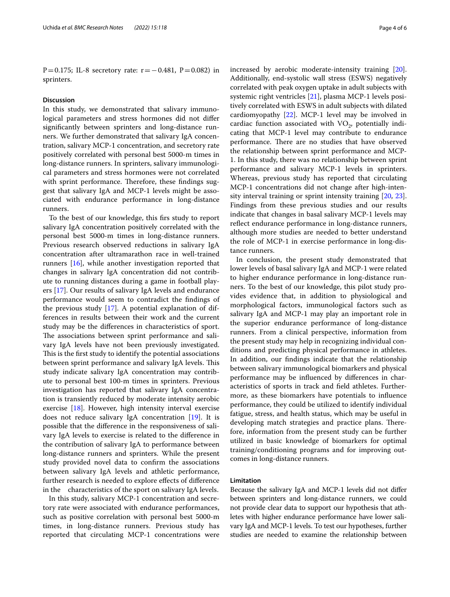P=0.175; IL-8 secretory rate: r=−0.481, P=0.082) in sprinters.

# **Discussion**

In this study, we demonstrated that salivary immunological parameters and stress hormones did not difer signifcantly between sprinters and long-distance runners. We further demonstrated that salivary IgA concentration, salivary MCP-1 concentration, and secretory rate positively correlated with personal best 5000-m times in long-distance runners. In sprinters, salivary immunological parameters and stress hormones were not correlated with sprint performance. Therefore, these findings suggest that salivary IgA and MCP-1 levels might be associated with endurance performance in long-distance runners.

To the best of our knowledge, this frs study to report salivary IgA concentration positively correlated with the personal best 5000-m times in long-distance runners. Previous research observed reductions in salivary IgA concentration after ultramarathon race in well-trained runners [\[16](#page-4-13)], while another investigation reported that changes in salivary IgA concentration did not contribute to running distances during a game in football players [[17](#page-4-14)]. Our results of salivary IgA levels and endurance performance would seem to contradict the fndings of the previous study [[17\]](#page-4-14). A potential explanation of differences in results between their work and the current study may be the diferences in characteristics of sport. The associations between sprint performance and salivary IgA levels have not been previously investigated. This is the first study to identify the potential associations between sprint performance and salivary IgA levels. This study indicate salivary IgA concentration may contribute to personal best 100-m times in sprinters. Previous investigation has reported that salivary IgA concentration is transiently reduced by moderate intensity aerobic exercise [[18\]](#page-4-15). However, high intensity interval exercise does not reduce salivary IgA concentration  $[19]$  $[19]$ . It is possible that the diference in the responsiveness of salivary IgA levels to exercise is related to the diference in the contribution of salivary IgA to performance between long-distance runners and sprinters. While the present study provided novel data to confrm the associations between salivary IgA levels and athletic performance, further research is needed to explore efects of diference in the characteristics of the sport on salivary IgA levels.

In this study, salivary MCP-1 concentration and secretory rate were associated with endurance performances, such as positive correlation with personal best 5000-m times, in long-distance runners. Previous study has reported that circulating MCP-1 concentrations were increased by aerobic moderate-intensity training [\[20](#page-4-17)]. Additionally, end-systolic wall stress (ESWS) negatively correlated with peak oxygen uptake in adult subjects with systemic right ventricles [\[21](#page-4-18)], plasma MCP-1 levels positively correlated with ESWS in adult subjects with dilated cardiomyopathy [\[22](#page-4-19)]. MCP-1 level may be involved in cardiac function associated with  $VO<sub>2</sub>$ , potentially indicating that MCP-1 level may contribute to endurance performance. There are no studies that have observed the relationship between sprint performance and MCP-1. In this study, there was no relationship between sprint performance and salivary MCP-1 levels in sprinters. Whereas, previous study has reported that circulating MCP-1 concentrations did not change after high-intensity interval training or sprint intensity training [\[20,](#page-4-17) [23](#page-5-0)]. Findings from these previous studies and our results indicate that changes in basal salivary MCP-1 levels may reflect endurance performance in long-distance runners, although more studies are needed to better understand the role of MCP-1 in exercise performance in long-distance runners.

In conclusion, the present study demonstrated that lower levels of basal salivary IgA and MCP-1 were related to higher endurance performance in long-distance runners. To the best of our knowledge, this pilot study provides evidence that, in addition to physiological and morphological factors, immunological factors such as salivary IgA and MCP-1 may play an important role in the superior endurance performance of long-distance runners. From a clinical perspective, information from the present study may help in recognizing individual conditions and predicting physical performance in athletes. In addition, our fndings indicate that the relationship between salivary immunological biomarkers and physical performance may be infuenced by diferences in characteristics of sports in track and feld athletes. Furthermore, as these biomarkers have potentials to infuence performance, they could be utilized to identify individual fatigue, stress, and health status, which may be useful in developing match strategies and practice plans. Therefore, information from the present study can be further utilized in basic knowledge of biomarkers for optimal training/conditioning programs and for improving outcomes in long-distance runners.

# **Limitation**

Because the salivary IgA and MCP-1 levels did not difer between sprinters and long-distance runners, we could not provide clear data to support our hypothesis that athletes with higher endurance performance have lower salivary IgA and MCP-1 levels. To test our hypotheses, further studies are needed to examine the relationship between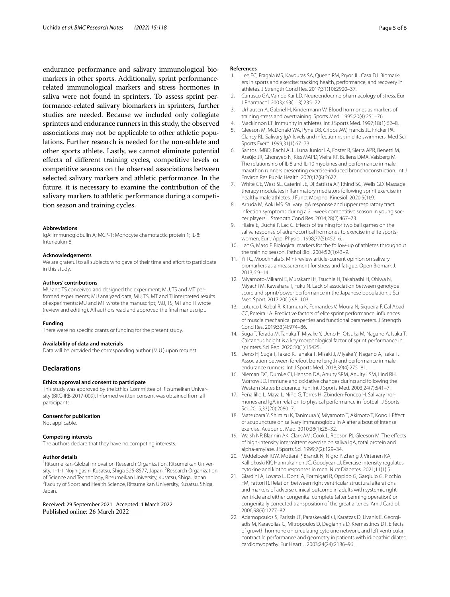endurance performance and salivary immunological biomarkers in other sports. Additionally, sprint performancerelated immunological markers and stress hormones in saliva were not found in sprinters. To assess sprint performance-related salivary biomarkers in sprinters, further studies are needed. Because we included only collegiate sprinters and endurance runners in this study, the observed associations may not be applicable to other athletic populations. Further research is needed for the non-athlete and other sports athlete. Lastly, we cannot eliminate potential efects of diferent training cycles, competitive levels or competitive seasons on the observed associations between selected salivary markers and athletic performance. In the future, it is necessary to examine the contribution of the salivary markers to athletic performance during a competition season and training cycles.

#### **Abbreviations**

IgA: Immunoglobulin A; MCP-1: Monocyte chemotactic protein 1; IL-8: Interleukin-8.

#### **Acknowledgements**

We are grateful to all subjects who gave of their time and effort to participate in this study.

#### **Authors' contributions**

MU and TS conceived and designed the experiment; MU, TS and MT performed experiments; MU analyzed data; MU, TS, MT and TI interpreted results of experiments; MU and MT wrote the manuscript; MU, TS, MT and TI wrote (review and editing). All authors read and approved the fnal manuscript.

#### **Funding**

There were no specifc grants or funding for the present study.

#### **Availability of data and materials**

Data will be provided the corresponding author (M.U.) upon request.

#### **Declarations**

### **Ethics approval and consent to participate**

This study was approved by the Ethics Committee of Ritsumeikan University (BKC-IRB-2017-009). Informed written consent was obtained from all participants.

#### **Consent for publication**

Not applicable.

#### **Competing interests**

The authors declare that they have no competing interests.

#### **Author details**

<sup>1</sup> Ritsumeikan-Global Innovation Research Organization, Ritsumeikan University, 1-1-1 Nojihigashi, Kusatsu, Shiga 525-8577, Japan. <sup>2</sup>Research Organization of Science and Technology, Ritsumeikan University, Kusatsu, Shiga, Japan. 3 <sup>3</sup> Faculty of Sport and Health Science, Ritsumeikan University, Kusatsu, Shiga, Japan.

Received: 29 September 2021 Accepted: 1 March 2022

#### **References**

- <span id="page-4-0"></span>1. Lee EC, Fragala MS, Kavouras SA, Queen RM, Pryor JL, Casa DJ. Biomarkers in sports and exercise: tracking health, performance, and recovery in athletes. J Strength Cond Res. 2017;31(10):2920–37.
- <span id="page-4-1"></span>2. Carrasco GA, Van de Kar LD. Neuroendocrine pharmacology of stress. Eur J Pharmacol. 2003;463(1–3):235–72.
- <span id="page-4-2"></span>3. Urhausen A, Gabriel H, Kindermann W. Blood hormones as markers of training stress and overtraining. Sports Med. 1995;20(4):251–76.
- <span id="page-4-3"></span>4. Mackinnon LT. Immunity in athletes. Int J Sports Med. 1997;18(1):62–8.
- <span id="page-4-4"></span>5. Gleeson M, McDonald WA, Pyne DB, Cripps AW, Francis JL, Fricker PA, Clancy RL. Salivary IgA levels and infection risk in elite swimmers. Med Sci Sports Exerc. 1999;31(1):67–73.
- <span id="page-4-5"></span>6. Santos JMBD, Bachi ALL, Luna Junior LA, Foster R, Sierra APR, Benetti M, Araújo JR, Ghorayeb N, Kiss MAPD, Vieira RP, Bullens DMA, Vaisberg M. The relationship of IL-8 and IL-10 myokines and performance in male marathon runners presenting exercise-induced bronchoconstriction. Int J Environ Res Public Health. 2020;17(8):2622.
- <span id="page-4-6"></span>7. White GE, West SL, Caterini JE, Di Battista AP, Rhind SG, Wells GD. Massage therapy modulates infammatory mediators following sprint exercise in healthy male athletes. J Funct Morphol Kinesiol. 2020;5(1):9.
- <span id="page-4-7"></span>8. Arruda M, Aoki MS. Salivary IgA response and upper respiratory tract infection symptoms during a 21-week competitive season in young soccer players. J Strength Cond Res. 2014;28(2):467–73.
- <span id="page-4-8"></span>9. Filaire E, Duché P, Lac G. Effects of training for two ball games on the saliva response of adrenocortical hormones to exercise in elite sportswomen. Eur J Appl Physiol. 1998;77(5):452–6.
- <span id="page-4-9"></span>10. Lac G, Maso F. Biological markers for the follow-up of athletes throughout the training season. Pathol Biol. 2004;52(1):43–9.
- <span id="page-4-10"></span>11. Yi TC, Moochhala S. Mini-review article-current opinion on salivary biomarkers as a measurement for stress and fatigue. Open Biomark J. 2013;6:9–14.
- <span id="page-4-11"></span>12. Miyamoto-Mikami E, Murakami H, Tsuchie H, Takahashi H, Ohiwa N, Miyachi M, Kawahara T, Fuku N. Lack of association between genotype score and sprint/power performance in the Japanese population. J Sci Med Sport. 2017;20(1):98–103.
- 13. Loturco I, Kobal R, Kitamura K, Fernandes V, Moura N, Siqueira F, Cal Abad CC, Pereira LA. Predictive factors of elite sprint performance: infuences of muscle mechanical properties and functional parameters. J Strength Cond Res. 2019;33(4):974–86.
- 14. Suga T, Terada M, Tanaka T, Miyake Y, Ueno H, Otsuka M, Nagano A, Isaka T. Calcaneus height is a key morphological factor of sprint performance in sprinters. Sci Rep. 2020;10(1):15425.
- <span id="page-4-12"></span>15. Ueno H, Suga T, Takao K, Tanaka T, Misaki J, Miyake Y, Nagano A, Isaka T. Association between forefoot bone length and performance in male endurance runners. Int J Sports Med. 2018;39(4):275–81.
- <span id="page-4-13"></span>16. Nieman DC, Dumke CI, Henson DA, Anulty SRM, Anulty LSM, Lind RH, Morrow JD. Immune and oxidative changes during and following the Western States Endurance Run. Int J Sports Med. 2003;24(7):541–7.
- <span id="page-4-14"></span>17. Peñailillo L, Maya L, Niño G, Torres H, Zbinden-Foncea H. Salivary hormones and IgA in relation to physical performance in football. J Sports Sci. 2015;33(20):2080–7.
- <span id="page-4-15"></span>18. Matsubara Y, Shimizu K, Tanimura Y, Miyamoto T, Akimoto T, Kono I. Efect of acupuncture on salivary immunoglobulin A after a bout of intense exercise. Acupunct Med. 2010;28(1):28–32.
- <span id="page-4-16"></span>19. Walsh NP, Blannin AK, Clark AM, Cook L, Robson PJ, Gleeson M. The efects of high-intensity intermittent exercise on saliva IgA, total protein and alpha-amylase. J Sports Sci. 1999;7(2):129–34.
- <span id="page-4-17"></span>20. Middelbeek RJW, Motiani P, Brandt N, Nigro P, Zheng J, Virtanen KA, Kalliokoski KK, Hannukainen JC, Goodyear LJ. Exercise intensity regulates cytokine and klotho responses in men. Nutr Diabetes. 2021;11(1):5.
- <span id="page-4-18"></span>21. Giardini A, Lovato L, Donti A, Formigari R, Oppido G, Gargiulo G, Picchio FM, Fattori R. Relation between right ventricular structural alterations and markers of adverse clinical outcome in adults with systemic right ventricle and either congenital complete (after Senning operation) or congenitally corrected transposition of the great arteries. Am J Cardiol. 2006;98(9):1277–82.
- <span id="page-4-19"></span>22. Adamopoulos S, Parissis JT, Paraskevaidis I, Karatzas D, Livanis E, Georgiadis M, Karavolias G, Mitropoulos D, Degiannis D, Kremastinos DT. Efects of growth hormone on circulating cytokine network, and left ventricular contractile performance and geometry in patients with idiopathic dilated cardiomyopathy. Eur Heart J. 2003;24(24):2186–96.